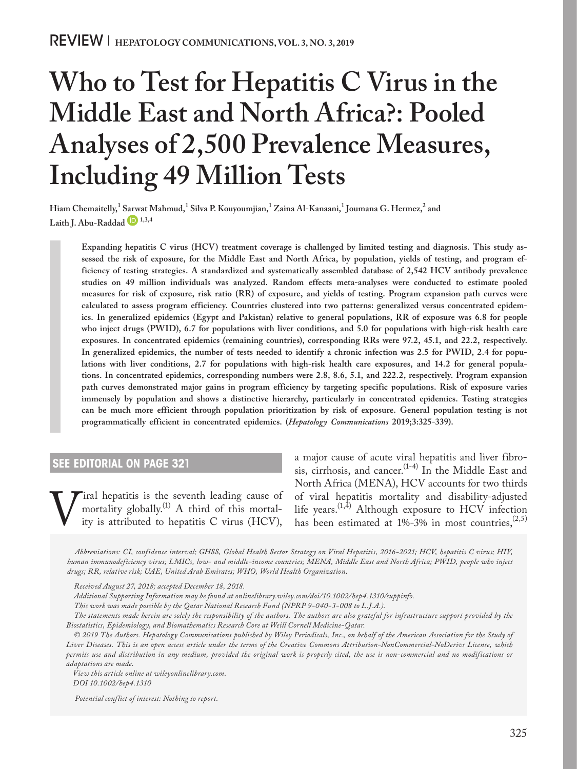# **Who to Test for Hepatitis C Virus in the Middle East and North Africa?: Pooled Analyses of 2,500 Prevalence Measures, Including 49 Million Tests**

 $\bf H$ iam Chemaitelly,<sup>1</sup> [Sarw](https://orcid.org/0000-0003-0790-0506)at Mahmud,<sup>1</sup> Silva P. Kouyoumjian,<sup>1</sup> Zaina Al-Kanaani,<sup>1</sup> Joumana G. Hermez,<sup>2</sup> and Laith J. Abu-Raddad<sup> 1,3,4</sup>

**Expanding hepatitis C virus (HCV) treatment coverage is challenged by limited testing and diagnosis. This study assessed the risk of exposure, for the Middle East and North Africa, by population, yields of testing, and program efficiency of testing strategies. A standardized and systematically assembled database of 2,542 HCV antibody prevalence studies on 49 million individuals was analyzed. Random effects meta-analyses were conducted to estimate pooled measures for risk of exposure, risk ratio (RR) of exposure, and yields of testing. Program expansion path curves were calculated to assess program efficiency. Countries clustered into two patterns: generalized versus concentrated epidemics. In generalized epidemics (Egypt and Pakistan) relative to general populations, RR of exposure was 6.8 for people who inject drugs (PWID), 6.7 for populations with liver conditions, and 5.0 for populations with high-risk health care exposures. In concentrated epidemics (remaining countries), corresponding RRs were 97.2, 45.1, and 22.2, respectively. In generalized epidemics, the number of tests needed to identify a chronic infection was 2.5 for PWID, 2.4 for populations with liver conditions, 2.7 for populations with high-risk health care exposures, and 14.2 for general populations. In concentrated epidemics, corresponding numbers were 2.8, 8.6, 5.1, and 222.2, respectively. Program expansion path curves demonstrated major gains in program efficiency by targeting specific populations. Risk of exposure varies immensely by population and shows a distinctive hierarchy, particularly in concentrated epidemics. Testing strategies can be much more efficient through population prioritization by risk of exposure. General population testing is not programmatically efficient in concentrated epidemics. (***Hepatology Communications* **2019;3:325-339).**

**SEE EDITORIAL ON PAGE [321](https://doi.org/10.1002/hep4.1330)**

Viral hepatitis is the seventh leading cause of mortality globally.<sup>(1)</sup> A third of this mortality is attributed to hepatitis C virus (HCV), mortality globally.<sup>(1)</sup> A third of this mortality is attributed to hepatitis C virus (HCV),

a major cause of acute viral hepatitis and liver fibrosis, cirrhosis, and cancer.<sup> $(1-4)$ </sup> In the Middle East and North Africa (MENA), HCV accounts for two thirds of viral hepatitis mortality and disability-adjusted life years.<sup>(1,4)</sup> Although exposure to HCV infection has been estimated at  $1\% - 3\%$  in most countries,<sup>(2,5)</sup>

*Abbreviations: CI, confidence interval; GHSS, Global Health Sector Strategy on Viral Hepatitis, 2016-2021; HCV, hepatitis C virus; HIV, human immunodeficiency virus; LMICs, low- and middle-income countries; MENA, Middle East and North Africa; PWID, people who inject drugs; RR, relative risk; UAE, United Arab Emirates; WHO, World Health Organization.*

*Received August 27, 2018; accepted December 18, 2018.*

*Additional Supporting Information may be found at [onlinelibrary.wiley.com/doi/10.1002/hep4.1310/suppinfo.](http://onlinelibrary.wiley.com/doi/10.1002/hep4.1310/suppinfo)*

*This work was made possible by the Qatar National Research Fund (NPRP 9-040-3-008 to L.J.A.).*

*The statements made herein are solely the responsibility of the authors. The authors are also grateful for infrastructure support provided by the Biostatistics, Epidemiology, and Biomathematics Research Core at Weill Cornell Medicine-Qatar.*

*© 2019 The Authors. Hepatology Communications published by Wiley Periodicals, Inc., on behalf of the American Association for the Study of Liver Diseases. This is an open access article under the terms of the [Creative Commons Attribution-NonCommercial-NoDerivs](http://creativecommons.org/licenses/by-nc-nd/4.0/) License, which permits use and distribution in any medium, provided the original work is properly cited, the use is non-commercial and no modifications or adaptations are made.*

*View this article online at wileyonlinelibrary.com. DOI 10.1002/hep4.1310*

*Potential conflict of interest: Nothing to report.*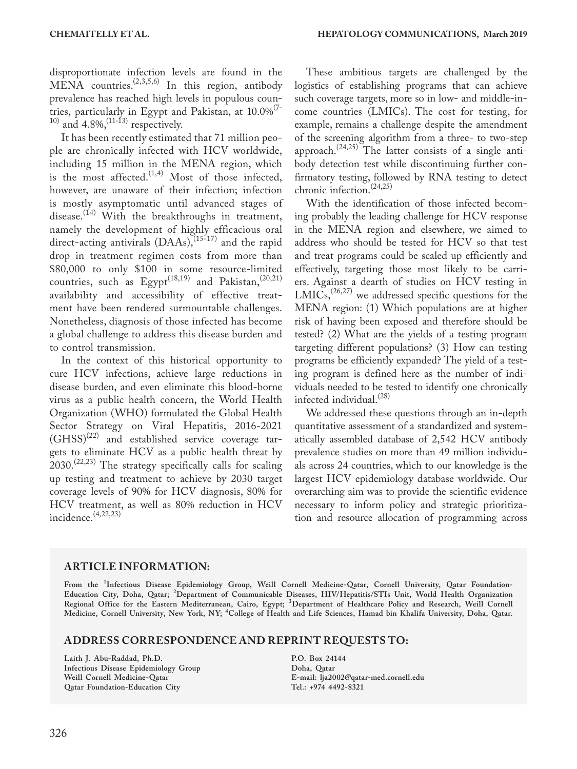disproportionate infection levels are found in the MENA countries. $(2,3,5,6)$  In this region, antibody prevalence has reached high levels in populous countries, particularly in Egypt and Pakistan, at  $10.0\%$ <sup>(7-1</sup>)  $^{10)}$  and 4.8%,  $^{(11-13)}$  respectively.

It has been recently estimated that 71 million people are chronically infected with HCV worldwide, including 15 million in the MENA region, which is the most affected.<sup> $(1,4)$ </sup> Most of those infected, however, are unaware of their infection; infection is mostly asymptomatic until advanced stages of disease.<sup>(14)</sup> With the breakthroughs in treatment, namely the development of highly efficacious oral direct-acting antivirals  $(DAAs)$ ,  $(15-17)$  and the rapid drop in treatment regimen costs from more than \$80,000 to only \$100 in some resource-limited countries, such as Egypt<sup>(18,19)</sup> and Pakistan,<sup>(20,21)</sup> availability and accessibility of effective treatment have been rendered surmountable challenges. Nonetheless, diagnosis of those infected has become a global challenge to address this disease burden and to control transmission.

In the context of this historical opportunity to cure HCV infections, achieve large reductions in disease burden, and even eliminate this blood-borne virus as a public health concern, the World Health Organization (WHO) formulated the Global Health Sector Strategy on Viral Hepatitis, 2016-2021  $(GHSS)^{(22)}$  and established service coverage targets to eliminate HCV as a public health threat by  $2030$ .<sup>(22,23)</sup> The strategy specifically calls for scaling up testing and treatment to achieve by 2030 target coverage levels of 90% for HCV diagnosis, 80% for HCV treatment, as well as 80% reduction in HCV incidence. $(4,22,23)$ 

These ambitious targets are challenged by the logistics of establishing programs that can achieve such coverage targets, more so in low- and middle-income countries (LMICs). The cost for testing, for example, remains a challenge despite the amendment of the screening algorithm from a three- to two-step approach. $(24,25)$  The latter consists of a single antibody detection test while discontinuing further confirmatory testing, followed by RNA testing to detect chronic infection. $(24,25)$ 

With the identification of those infected becoming probably the leading challenge for HCV response in the MENA region and elsewhere, we aimed to address who should be tested for HCV so that test and treat programs could be scaled up efficiently and effectively, targeting those most likely to be carriers. Against a dearth of studies on HCV testing in  $LMICs$ ,<sup> $(26,27)$ </sup> we addressed specific questions for the MENA region: (1) Which populations are at higher risk of having been exposed and therefore should be tested? (2) What are the yields of a testing program targeting different populations? (3) How can testing programs be efficiently expanded? The yield of a testing program is defined here as the number of individuals needed to be tested to identify one chronically infected individual.<sup>(28)</sup>

We addressed these questions through an in-depth quantitative assessment of a standardized and systematically assembled database of 2,542 HCV antibody prevalence studies on more than 49 million individuals across 24 countries, which to our knowledge is the largest HCV epidemiology database worldwide. Our overarching aim was to provide the scientific evidence necessary to inform policy and strategic prioritization and resource allocation of programming across

#### **ARTICLE INFORMATION:**

**From the <sup>1</sup> Infectious Disease Epidemiology Group, Weill Cornell Medicine-Qatar, Cornell University, Qatar Foundation-Education City, Doha, Qatar; <sup>2</sup> Department of Communicable Diseases, HIV/Hepatitis/STIs Unit, World Health Organization Regional Office for the Eastern Mediterranean, Cairo, Egypt; <sup>3</sup> Department of Healthcare Policy and Research, Weill Cornell Medicine, Cornell University, New York, NY; <sup>4</sup> College of Health and Life Sciences, Hamad bin Khalifa University, Doha, Qatar.**

#### **ADDRESS CORRESPONDENCE AND REPRINT REQUESTS TO:**

**Laith J. Abu-Raddad, Ph.D. Infectious Disease Epidemiology Group Weill Cornell Medicine-Qatar Qatar Foundation-Education City**

**P.O. Box 24144 Doha, Qatar E-mail: [lja2002@qatar-med.cornell.edu](mailto:lja2002@qatar-med.cornell.edu) Tel.: +974 4492-8321**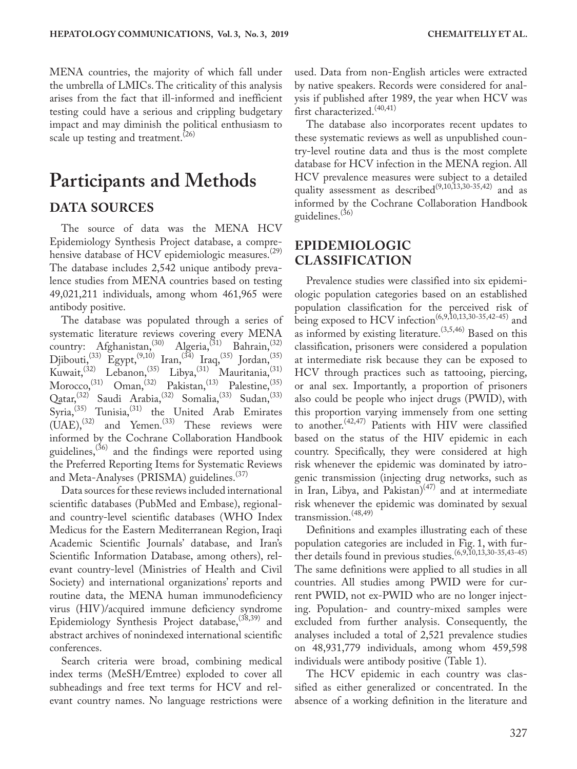MENA countries, the majority of which fall under the umbrella of LMICs. The criticality of this analysis arises from the fact that ill-informed and inefficient testing could have a serious and crippling budgetary impact and may diminish the political enthusiasm to scale up testing and treatment.<sup>(26)</sup>

## **Participants and Methods**

### **DATA SOURCES**

The source of data was the MENA HCV Epidemiology Synthesis Project database, a comprehensive database of HCV epidemiologic measures.<sup>(29)</sup> The database includes 2,542 unique antibody prevalence studies from MENA countries based on testing 49,021,211 individuals, among whom 461,965 were antibody positive.

The database was populated through a series of systematic literature reviews covering every MENA country: Afghanistan,<sup>(30)</sup> Algeria,<sup>(31)</sup> Bahrain,<sup>(32)</sup> Djibouti,<sup>(33)</sup> Egypt,<sup>(9,10)</sup> Iran,<sup>(34)</sup> Iraq,<sup>(35)</sup> Jordan,<sup>(35)</sup> Kuwait,<sup>(32)</sup> Lebanon,<sup>(35)</sup> Libya,<sup>(31)</sup> Mauritania,<sup>(31)</sup> Morocco,<sup>(31)</sup> Oman,<sup>(32)</sup> Pakistan,<sup>(13)</sup> Palestine,<sup>(35)</sup> Qatar,<sup>(32)</sup> Saudi Arabia,<sup>(32)</sup> Somalia,<sup>(33)</sup> Sudan,<sup>(33)</sup>  $Syria<sub>1</sub><sup>(35)</sup>$  Tunisia,<sup>(31)</sup> the United Arab Emirates  $(UAE),$ <sup>(32)</sup> and Yemen.<sup>(33)</sup> These reviews were informed by the Cochrane Collaboration Handbook guidelines,<sup>(36)</sup> and the findings were reported using the Preferred Reporting Items for Systematic Reviews and Meta-Analyses (PRISMA) guidelines.<sup>(37)</sup>

Data sources for these reviews included international scientific databases (PubMed and Embase), regionaland country-level scientific databases (WHO Index Medicus for the Eastern Mediterranean Region, Iraqi Academic Scientific Journals' database, and Iran's Scientific Information Database, among others), relevant country-level (Ministries of Health and Civil Society) and international organizations' reports and routine data, the MENA human immunodeficiency virus (HIV)/acquired immune deficiency syndrome Epidemiology Synthesis Project database,<sup>(38,39)</sup> and abstract archives of nonindexed international scientific conferences.

Search criteria were broad, combining medical index terms (MeSH/Emtree) exploded to cover all subheadings and free text terms for HCV and relevant country names. No language restrictions were used. Data from non-English articles were extracted by native speakers. Records were considered for analysis if published after 1989, the year when HCV was first characterized.<sup>(40,41)</sup>

The database also incorporates recent updates to these systematic reviews as well as unpublished country-level routine data and thus is the most complete database for HCV infection in the MENA region. All HCV prevalence measures were subject to a detailed quality assessment as described<sup>(9,10,13,30-35,42)</sup> and as informed by the Cochrane Collaboration Handbook guidelines.(36)

### **EPIDEMIOLOGIC CLASSIFICATION**

Prevalence studies were classified into six epidemiologic population categories based on an established population classification for the perceived risk of being exposed to HCV infection<sup> $(6,9,10,13,30-35,42-45)$ </sup> and as informed by existing literature.<sup>(3,5,46)</sup> Based on this classification, prisoners were considered a population at intermediate risk because they can be exposed to HCV through practices such as tattooing, piercing, or anal sex. Importantly, a proportion of prisoners also could be people who inject drugs (PWID), with this proportion varying immensely from one setting to another.  $(42,47)$  Patients with HIV were classified based on the status of the HIV epidemic in each country. Specifically, they were considered at high risk whenever the epidemic was dominated by iatrogenic transmission (injecting drug networks, such as in Iran, Libya, and Pakistan) $(47)$  and at intermediate risk whenever the epidemic was dominated by sexual transmission.(48,49)

Definitions and examples illustrating each of these population categories are included in Fig. 1, with further details found in previous studies.<sup>(6,9,10,13,30-35,43-45)</sup> The same definitions were applied to all studies in all countries. All studies among PWID were for current PWID, not ex-PWID who are no longer injecting. Population- and country-mixed samples were excluded from further analysis. Consequently, the analyses included a total of 2,521 prevalence studies on 48,931,779 individuals, among whom 459,598 individuals were antibody positive (Table 1).

The HCV epidemic in each country was classified as either generalized or concentrated. In the absence of a working definition in the literature and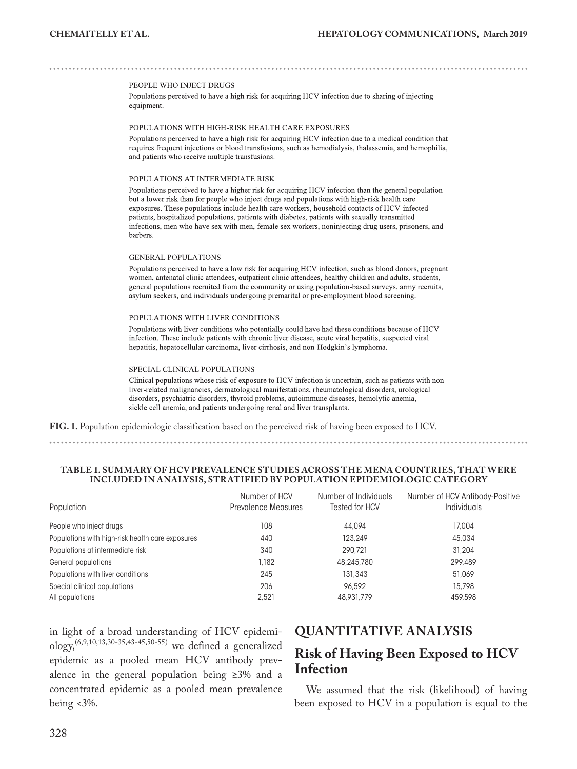#### PEOPLE WHO INJECT DRUGS

Populations perceived to have a high risk for acquiring HCV infection due to sharing of injecting equipment.

#### POPULATIONS WITH HIGH-RISK HEALTH CARE EXPOSURES

Populations perceived to have a high risk for acquiring HCV infection due to a medical condition that requires frequent injections or blood transfusions, such as hemodialysis, thalassemia, and hemophilia, and patients who receive multiple transfusions.

#### POPULATIONS AT INTERMEDIATE RISK

Populations perceived to have a higher risk for acquiring HCV infection than the general population but a lower risk than for people who inject drugs and populations with high-risk health care exposures. These populations include health care workers, household contacts of HCV-infected patients, hospitalized populations, patients with diabetes, patients with sexually transmitted infections, men who have sex with men, female sex workers, noninjecting drug users, prisoners, and barbers.

#### **GENERAL POPULATIONS**

Populations perceived to have a low risk for acquiring HCV infection, such as blood donors, pregnant women, antenatal clinic attendees, outpatient clinic attendees, healthy children and adults, students, general populations recruited from the community or using population-based surveys, army recruits, asylum seekers, and individuals undergoing premarital or pre-employment blood screening.

#### POPULATIONS WITH LIVER CONDITIONS

Populations with liver conditions who potentially could have had these conditions because of HCV infection. These include patients with chronic liver disease, acute viral hepatitis, suspected viral hepatitis, hepatocellular carcinoma, liver cirrhosis, and non-Hodgkin's lymphoma.

#### SPECIAL CLINICAL POPULATIONS

Clinical populations whose risk of exposure to HCV infection is uncertain, such as patients with nonliver-related malignancies, dermatological manifestations, rheumatological disorders, urological disorders, psychiatric disorders, thyroid problems, autoimmune diseases, hemolytic anemia, sickle cell anemia, and patients undergoing renal and liver transplants.

**FIG. 1.** Population epidemiologic classification based on the perceived risk of having been exposed to HCV.

#### **TABLE 1. SUMMARY OF HCV PREVALENCE STUDIES ACROSS THE MENA COUNTRIES, THAT WERE INCLUDED IN ANALYSIS, STRATIFIED BY POPULATION EPIDEMIOLOGIC CATEGORY**

| Population                                       | Number of HCV<br><b>Prevalence Measures</b> | Number of Individuals<br>Tested for HCV | Number of HCV Antibody-Positive<br><i>Individuals</i> |
|--------------------------------------------------|---------------------------------------------|-----------------------------------------|-------------------------------------------------------|
| People who inject drugs                          | 108                                         | 44,094                                  | 17,004                                                |
| Populations with high-risk health care exposures | 440                                         | 123,249                                 | 45,034                                                |
| Populations at intermediate risk                 | 340                                         | 290.721                                 | 31,204                                                |
| General populations                              | 1,182                                       | 48,245,780                              | 299,489                                               |
| Populations with liver conditions                | 245                                         | 131,343                                 | 51,069                                                |
| Special clinical populations                     | 206                                         | 96.592                                  | 15,798                                                |
| All populations                                  | 2.521                                       | 48,931,779                              | 459,598                                               |

in light of a broad understanding of HCV epidemiology,  $^{(6,9,10,13,30-35,43-45,50-55)}$  we defined a generalized epidemic as a pooled mean HCV antibody prevalence in the general population being ≥3% and a concentrated epidemic as a pooled mean prevalence being <3%.

### **QUANTITATIVE ANALYSIS**

### **Risk of Having Been Exposed to HCV Infection**

We assumed that the risk (likelihood) of having been exposed to HCV in a population is equal to the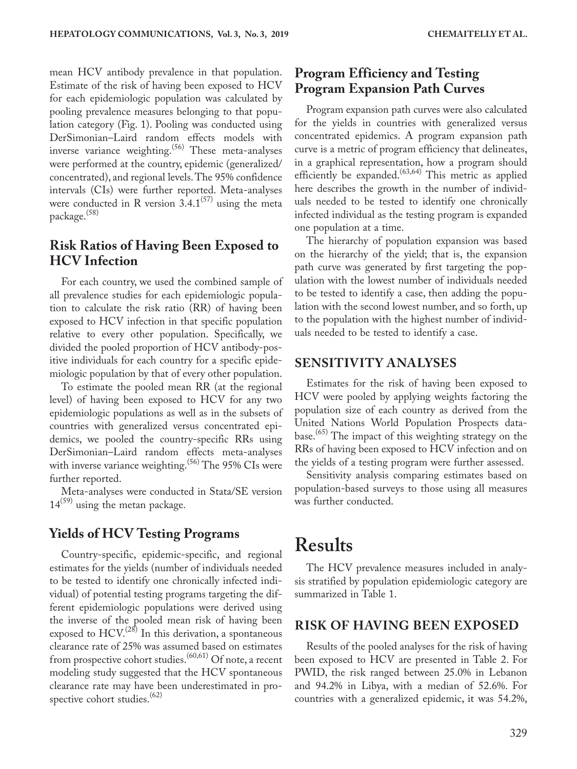mean HCV antibody prevalence in that population. Estimate of the risk of having been exposed to HCV for each epidemiologic population was calculated by pooling prevalence measures belonging to that population category (Fig. 1). Pooling was conducted using DerSimonian–Laird random effects models with inverse variance weighting.<sup> $(56)$ </sup> These meta-analyses were performed at the country, epidemic (generalized/ concentrated), and regional levels. The 95% confidence intervals (CIs) were further reported. Meta-analyses were conducted in R version 3.4.1<sup>(57)</sup> using the meta package.(58)

### **Risk Ratios of Having Been Exposed to HCV Infection**

For each country, we used the combined sample of all prevalence studies for each epidemiologic population to calculate the risk ratio (RR) of having been exposed to HCV infection in that specific population relative to every other population. Specifically, we divided the pooled proportion of HCV antibody-positive individuals for each country for a specific epidemiologic population by that of every other population.

To estimate the pooled mean RR (at the regional level) of having been exposed to HCV for any two epidemiologic populations as well as in the subsets of countries with generalized versus concentrated epidemics, we pooled the country-specific RRs using DerSimonian–Laird random effects meta-analyses with inverse variance weighting.<sup> $(56)$ </sup> The 95% CIs were further reported.

Meta-analyses were conducted in Stata/SE version  $14^{(59)}$  using the metan package.

### **Yields of HCV Testing Programs**

Country-specific, epidemic-specific, and regional estimates for the yields (number of individuals needed to be tested to identify one chronically infected individual) of potential testing programs targeting the different epidemiologic populations were derived using the inverse of the pooled mean risk of having been exposed to  $HCV<sup>(28)</sup>$  In this derivation, a spontaneous clearance rate of 25% was assumed based on estimates from prospective cohort studies.<sup>(60,61)</sup> Of note, a recent modeling study suggested that the HCV spontaneous clearance rate may have been underestimated in prospective cohort studies. $(62)$ 

### **Program Efficiency and Testing Program Expansion Path Curves**

Program expansion path curves were also calculated for the yields in countries with generalized versus concentrated epidemics. A program expansion path curve is a metric of program efficiency that delineates, in a graphical representation, how a program should efficiently be expanded.<sup> $(63,64)$ </sup> This metric as applied here describes the growth in the number of individuals needed to be tested to identify one chronically infected individual as the testing program is expanded one population at a time.

The hierarchy of population expansion was based on the hierarchy of the yield; that is, the expansion path curve was generated by first targeting the population with the lowest number of individuals needed to be tested to identify a case, then adding the population with the second lowest number, and so forth, up to the population with the highest number of individuals needed to be tested to identify a case.

### **SENSITIVITY ANALYSES**

Estimates for the risk of having been exposed to HCV were pooled by applying weights factoring the population size of each country as derived from the United Nations World Population Prospects database.<sup>(65)</sup> The impact of this weighting strategy on the RRs of having been exposed to HCV infection and on the yields of a testing program were further assessed.

Sensitivity analysis comparing estimates based on population-based surveys to those using all measures was further conducted.

## **Results**

The HCV prevalence measures included in analysis stratified by population epidemiologic category are summarized in Table 1.

#### **RISK OF HAVING BEEN EXPOSED**

Results of the pooled analyses for the risk of having been exposed to HCV are presented in Table 2. For PWID, the risk ranged between 25.0% in Lebanon and 94.2% in Libya, with a median of 52.6%. For countries with a generalized epidemic, it was 54.2%,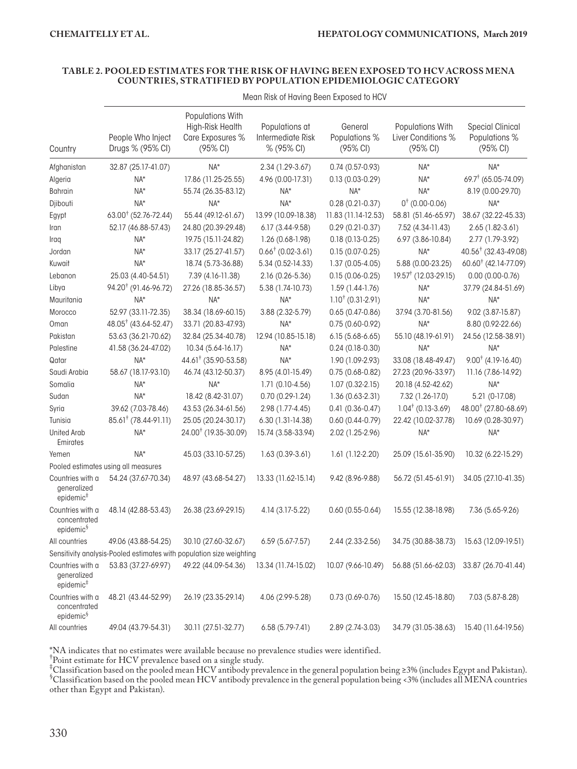#### **TABLE 2. POOLED ESTIMATES FOR THE RISK OF HAVING BEEN EXPOSED TO HCV ACROSS MENA COUNTRIES, STRATIFIED BY POPULATION EPIDEMIOLOGIC CATEGORY**

| Country                                                   | People Who Inject<br>Drugs % (95% CI) | Populations With<br>High-Risk Health<br>Care Exposures %<br>(95% CI) | Populations at<br><b>Intermediate Risk</b><br>% (95% CI) | General<br>Populations %<br>(95% CI) | Populations With<br>Liver Conditions %<br>(95% CI) | <b>Special Clinical</b><br>Populations %<br>(95% CI) |
|-----------------------------------------------------------|---------------------------------------|----------------------------------------------------------------------|----------------------------------------------------------|--------------------------------------|----------------------------------------------------|------------------------------------------------------|
| Afghanistan                                               | 32.87 (25.17-41.07)                   | $NA*$                                                                | 2.34 (1.29-3.67)                                         | $0.74(0.57-0.93)$                    | $NA*$                                              | NA*                                                  |
| Algeria                                                   | $NA^*$                                | 17.86 (11.25-25.55)                                                  | 4.96 (0.00-17.31)                                        | $0.13(0.03 - 0.29)$                  | $NA^*$                                             | 69.7 <sup>†</sup> (65.05-74.09)                      |
| <b>Bahrain</b>                                            | $NA*$                                 | 55.74 (26.35-83.12)                                                  | $NA^*$                                                   | NA*                                  | $NA^*$                                             | 8.19 (0.00-29.70)                                    |
| Djibouti                                                  | $NA*$                                 | $NA^*$                                                               | $NA^*$                                                   | $0.28(0.21-0.37)$                    | $0^+(0.00-0.06)$                                   | NA*                                                  |
| Egypt                                                     | $63.00^{\dagger}$ (52.76-72.44)       | 55.44 (49.12-61.67)                                                  | 13.99 (10.09-18.38)                                      | 11.83 (11.14-12.53)                  | 58.81 (51.46-65.97)                                | 38.67 (32.22-45.33)                                  |
| Iran                                                      | 52.17 (46.88-57.43)                   | 24.80 (20.39-29.48)                                                  | $6.17(3.44-9.58)$                                        | $0.29(0.21-0.37)$                    | 7.52 (4.34-11.43)                                  | 2.65 (1.82-3.61)                                     |
| Iraq                                                      | $NA*$                                 | 19.75 (15.11-24.82)                                                  | 1.26 (0.68-1.98)                                         | $0.18(0.13 - 0.25)$                  | 6.97 (3.86-10.84)                                  | 2.77 (1.79-3.92)                                     |
| Jordan                                                    | NA*                                   | 33.17 (25.27-41.57)                                                  | $0.66^{\dagger}$ (0.02-3.61)                             | $0.15(0.07 - 0.25)$                  | NA*                                                | $40.56^{\dagger}$ (32.43-49.08)                      |
| Kuwait                                                    | NA*                                   | 18.74 (5.73-36.88)                                                   | 5.34 (0.52-14.33)                                        | $1.37(0.05-4.05)$                    | 5.88 (0.00-23.25)                                  | 60.60 <sup>+</sup> (42.14-77.09)                     |
| Lebanon                                                   | 25.03 (4.40-54.51)                    | 7.39 (4.16-11.38)                                                    | 2.16 (0.26-5.36)                                         | $0.15(0.06 - 0.25)$                  | 19.57 <sup>†</sup> (12.03-29.15)                   | $0.00(0.00-0.76)$                                    |
| Libya                                                     | 94.20 <sup>+</sup> (91.46-96.72)      | 27.26 (18.85-36.57)                                                  | 5.38 (1.74-10.73)                                        | $1.59(1.44-1.76)$                    | $NA^*$                                             | 37.79 (24.84-51.69)                                  |
| Mauritania                                                | $NA*$                                 | $NA^*$                                                               | $NA^*$                                                   | $1.10^{+}$ (0.31-2.91)               | $NA^*$                                             | $NA^*$                                               |
| Morocco                                                   | 52.97 (33.11-72.35)                   | 38.34 (18.69-60.15)                                                  | 3.88 (2.32-5.79)                                         | $0.65(0.47-0.86)$                    | 37.94 (3.70-81.56)                                 | 9.02 (3.87-15.87)                                    |
| Oman                                                      | $48.05^{\dagger}$ (43.64-52.47)       | 33.71 (20.83-47.93)                                                  | $NA^*$                                                   | $0.75(0.60-0.92)$                    | NA*                                                | 8.80 (0.92-22.66)                                    |
| Pakistan                                                  | 53.63 (36.21-70.62)                   | 32.84 (25.34-40.78)                                                  | 12.94 (10.85-15.18)                                      | $6.15(5.68-6.65)$                    | 55.10 (48.19-61.91)                                | 24.56 (12.58-38.91)                                  |
| Palestine                                                 | 41.58 (36.24-47.02)                   | 10.34 (5.64-16.17)                                                   | NA*                                                      | $0.24(0.18-0.30)$                    | NA*                                                | NA*                                                  |
| Qatar                                                     | $NA*$                                 | 44.61 (35.90-53.58)                                                  | NA*                                                      | 1.90 (1.09-2.93)                     | 33.08 (18.48-49.47)                                | $9.00^{\dagger}$ (4.19-16.40)                        |
| Saudi Arabia                                              | 58.67 (18.17-93.10)                   | 46.74 (43.12-50.37)                                                  | 8.95 (4.01-15.49)                                        | $0.75(0.68-0.82)$                    | 27.23 (20.96-33.97)                                | 11.16 (7.86-14.92)                                   |
| Somalia                                                   | $NA^*$                                | $NA^*$                                                               | $1.71(0.10-4.56)$                                        | $1.07(0.32-2.15)$                    | 20.18 (4.52-42.62)                                 | NA*                                                  |
| Sudan                                                     | NA*                                   | 18.42 (8.42-31.07)                                                   | $0.70(0.29-1.24)$                                        | $1.36(0.63-2.31)$                    | 7.32 (1.26-17.0)                                   | 5.21 (0-17.08)                                       |
| Syria                                                     | 39.62 (7.03-78.46)                    | 43.53 (26.34-61.56)                                                  | 2.98 (1.77-4.45)                                         | $0.41(0.36 - 0.47)$                  | $1.04^{\dagger}$ (0.13-3.69)                       | 48.00 <sup>+</sup> (27.80-68.69)                     |
| Tunisia                                                   | $85.61^{\dagger}$ (78.44-91.11)       | 25.05 (20.24-30.17)                                                  | $6.30(1.31-14.38)$                                       | $0.60(0.44 - 0.79)$                  | 22.42 (10.02-37.78)                                | 10.69 (0.28-30.97)                                   |
| <b>United Arab</b><br>Emirates                            | NA*                                   | 24.00 <sup>+</sup> (19.35-30.09)                                     | 15.74 (3.58-33.94)                                       | 2.02 (1.25-2.96)                     | NA*                                                | $NA^*$                                               |
| Yemen                                                     | NA*                                   | 45.03 (33.10-57.25)                                                  | $1.63(0.39-3.61)$                                        | $1.61(1.12-2.20)$                    | 25.09 (15.61-35.90)                                | 10.32 (6.22-15.29)                                   |
|                                                           | Pooled estimates using all measures   |                                                                      |                                                          |                                      |                                                    |                                                      |
| Countries with a<br>generalized<br>epidemic <sup>#</sup>  | 54.24 (37.67-70.34)                   | 48.97 (43.68-54.27)                                                  | 13.33 (11.62-15.14)                                      | 9.42 (8.96-9.88)                     | 56.72 (51.45-61.91)                                | 34.05 (27.10-41.35)                                  |
| Countries with a<br>concentrated<br>epidemic <sup>§</sup> | 48.14 (42.88-53.43)                   | 26.38 (23.69-29.15)                                                  | 4.14 (3.17-5.22)                                         | $0.60(0.55-0.64)$                    | 15.55 (12.38-18.98)                                | 7.36 (5.65-9.26)                                     |
| All countries                                             | 49.06 (43.88-54.25)                   | 30.10 (27.60-32.67)                                                  | $6.59(5.67-7.5/)$                                        | 2.44 (2.33-2.56)                     |                                                    | 34.75 (30.88-38.73) 15.63 (12.09-19.51)              |
|                                                           |                                       | Sensitivity analysis-Pooled estimates with population size weighting |                                                          |                                      |                                                    |                                                      |
| Countries with a<br>generalized<br>epidemic <sup>#</sup>  | 53.83 (37.27-69.97)                   | 49.22 (44.09-54.36)                                                  | 13.34 (11.74-15.02)                                      | 10.07 (9.66-10.49)                   |                                                    | 56.88 (51.66-62.03) 33.87 (26.70-41.44)              |
| Countries with a<br>concentrated<br>epidemic <sup>§</sup> | 48.21 (43.44-52.99)                   | 26.19 (23.35-29.14)                                                  | 4.06 (2.99-5.28)                                         | $0.73(0.69-0.76)$                    | 15.50 (12.45-18.80)                                | 7.03 (5.87-8.28)                                     |
| All countries                                             | 49.04 (43.79-54.31)                   | 30.11 (27.51-32.77)                                                  | $6.58(5.79-7.41)$                                        | 2.89 (2.74-3.03)                     | 34.79 (31.05-38.63)                                | 15.40 (11.64-19.56)                                  |

Mean Risk of Having Been Exposed to HCV

\*NA indicates that no estimates were available because no prevalence studies were identified.

†Point estimate for HCV prevalence based on a single study.<br>‡Classification based on the pooled mean HCV antibody prevalence in the general population being ≥3% (includes Egypt and Pakistan).<br><sup>§</sup>Classification based on th other than Egypt and Pakistan).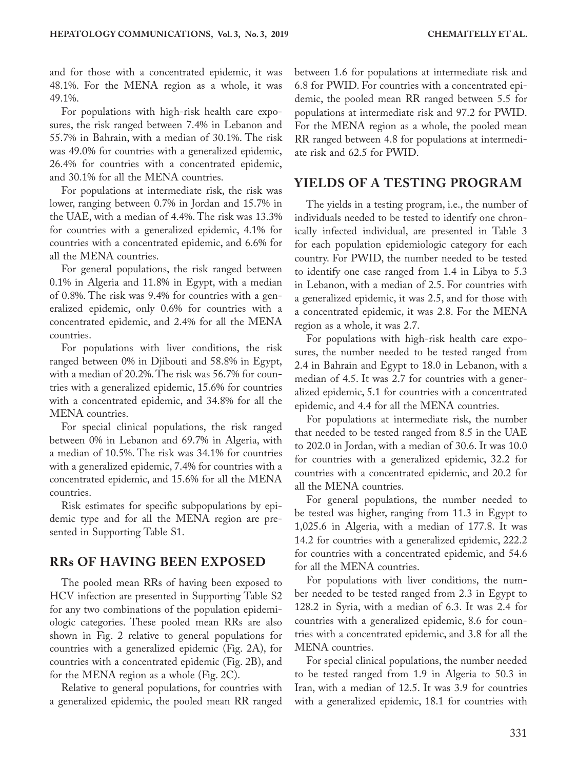and for those with a concentrated epidemic, it was 48.1%. For the MENA region as a whole, it was 49.1%.

For populations with high-risk health care exposures, the risk ranged between 7.4% in Lebanon and 55.7% in Bahrain, with a median of 30.1%. The risk was 49.0% for countries with a generalized epidemic, 26.4% for countries with a concentrated epidemic, and 30.1% for all the MENA countries.

For populations at intermediate risk, the risk was lower, ranging between 0.7% in Jordan and 15.7% in the UAE, with a median of 4.4%. The risk was 13.3% for countries with a generalized epidemic, 4.1% for countries with a concentrated epidemic, and 6.6% for all the MENA countries.

For general populations, the risk ranged between 0.1% in Algeria and 11.8% in Egypt, with a median of 0.8%. The risk was 9.4% for countries with a generalized epidemic, only 0.6% for countries with a concentrated epidemic, and 2.4% for all the MENA countries.

For populations with liver conditions, the risk ranged between 0% in Djibouti and 58.8% in Egypt, with a median of 20.2%. The risk was 56.7% for countries with a generalized epidemic, 15.6% for countries with a concentrated epidemic, and 34.8% for all the MENA countries.

For special clinical populations, the risk ranged between 0% in Lebanon and 69.7% in Algeria, with a median of 10.5%. The risk was 34.1% for countries with a generalized epidemic, 7.4% for countries with a concentrated epidemic, and 15.6% for all the MENA countries.

Risk estimates for specific subpopulations by epidemic type and for all the MENA region are presented in Supporting Table S1.

### **RRs OF HAVING BEEN EXPOSED**

The pooled mean RRs of having been exposed to HCV infection are presented in Supporting Table S2 for any two combinations of the population epidemiologic categories. These pooled mean RRs are also shown in Fig. 2 relative to general populations for countries with a generalized epidemic (Fig. 2A), for countries with a concentrated epidemic (Fig. 2B), and for the MENA region as a whole (Fig. 2C).

Relative to general populations, for countries with a generalized epidemic, the pooled mean RR ranged between 1.6 for populations at intermediate risk and 6.8 for PWID. For countries with a concentrated epidemic, the pooled mean RR ranged between 5.5 for populations at intermediate risk and 97.2 for PWID. For the MENA region as a whole, the pooled mean RR ranged between 4.8 for populations at intermediate risk and 62.5 for PWID.

### **YIELDS OF A TESTING PROGRAM**

The yields in a testing program, i.e., the number of individuals needed to be tested to identify one chronically infected individual, are presented in Table 3 for each population epidemiologic category for each country. For PWID, the number needed to be tested to identify one case ranged from 1.4 in Libya to 5.3 in Lebanon, with a median of 2.5. For countries with a generalized epidemic, it was 2.5, and for those with a concentrated epidemic, it was 2.8. For the MENA region as a whole, it was 2.7.

For populations with high-risk health care exposures, the number needed to be tested ranged from 2.4 in Bahrain and Egypt to 18.0 in Lebanon, with a median of 4.5. It was 2.7 for countries with a generalized epidemic, 5.1 for countries with a concentrated epidemic, and 4.4 for all the MENA countries.

For populations at intermediate risk, the number that needed to be tested ranged from 8.5 in the UAE to 202.0 in Jordan, with a median of 30.6. It was 10.0 for countries with a generalized epidemic, 32.2 for countries with a concentrated epidemic, and 20.2 for all the MENA countries.

For general populations, the number needed to be tested was higher, ranging from 11.3 in Egypt to 1,025.6 in Algeria, with a median of 177.8. It was 14.2 for countries with a generalized epidemic, 222.2 for countries with a concentrated epidemic, and 54.6 for all the MENA countries.

For populations with liver conditions, the number needed to be tested ranged from 2.3 in Egypt to 128.2 in Syria, with a median of 6.3. It was 2.4 for countries with a generalized epidemic, 8.6 for countries with a concentrated epidemic, and 3.8 for all the MENA countries.

For special clinical populations, the number needed to be tested ranged from 1.9 in Algeria to 50.3 in Iran, with a median of 12.5. It was 3.9 for countries with a generalized epidemic, 18.1 for countries with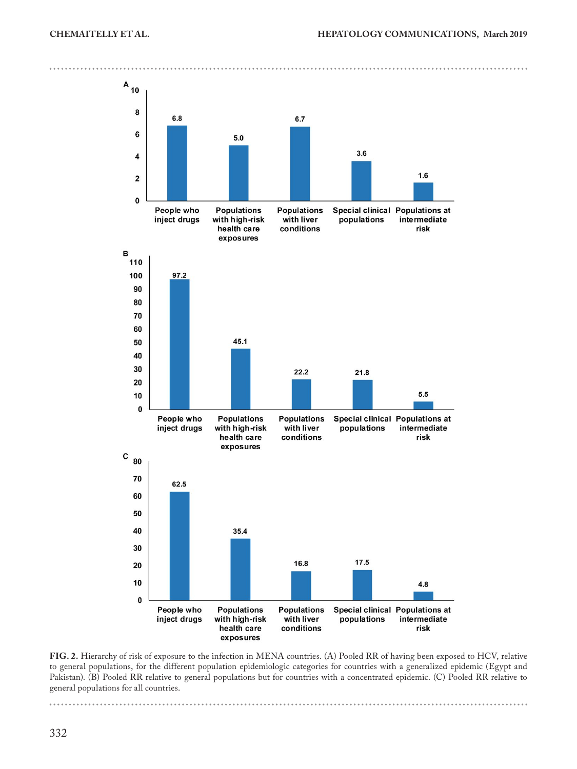

**FIG. 2.** Hierarchy of risk of exposure to the infection in MENA countries. (A) Pooled RR of having been exposed to HCV, relative to general populations, for the different population epidemiologic categories for countries with a generalized epidemic (Egypt and Pakistan). (B) Pooled RR relative to general populations but for countries with a concentrated epidemic. (C) Pooled RR relative to general populations for all countries.

. . . . . . . .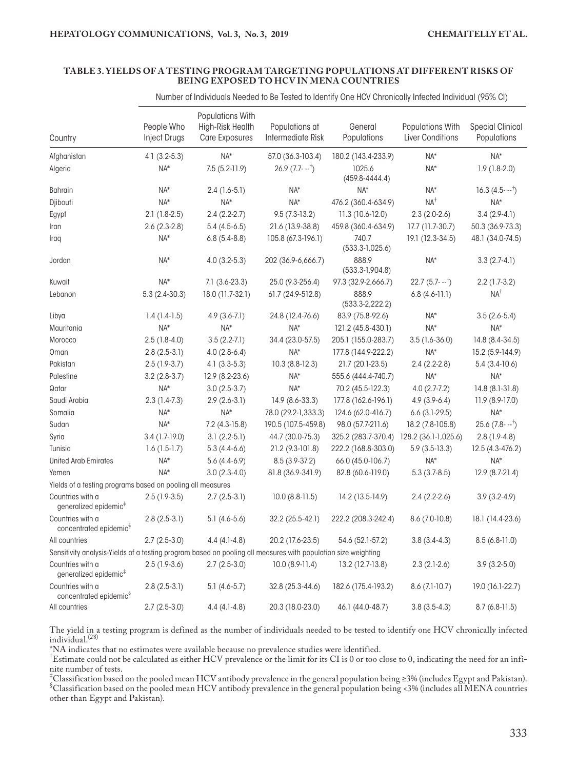#### **TABLE 3. YIELDS OF A TESTING PROGRAM TARGETING POPULATIONS AT DIFFERENT RISKS OF BEING EXPOSED TO HCV IN MENA COUNTRIES**

|                                                                                                               | mannocritical individuals necucularly be resident to fuering One Hovi Unionically integred individual (7070 Or |                                                               |                                     |                               |                                             |                                        |  |
|---------------------------------------------------------------------------------------------------------------|----------------------------------------------------------------------------------------------------------------|---------------------------------------------------------------|-------------------------------------|-------------------------------|---------------------------------------------|----------------------------------------|--|
| Country                                                                                                       | People Who<br><b>Inject Drugs</b>                                                                              | Populations With<br>High-Risk Health<br><b>Care Exposures</b> | Populations at<br>Intermediate Risk | General<br>Populations        | Populations With<br><b>Liver Conditions</b> | <b>Special Clinical</b><br>Populations |  |
| Afghanistan                                                                                                   | $4.1(3.2-5.3)$                                                                                                 | $NA^*$                                                        | 57.0 (36.3-103.4)                   | 180.2 (143.4-233.9)           | $NA^*$                                      | NA*                                    |  |
| Algeria                                                                                                       | NA*                                                                                                            | $7.5(5.2-11.9)$                                               | $26.9(7.7--^{\dagger})$             | 1025.6<br>$(459.8 - 4444.4)$  | $NA^*$                                      | $1.9(1.8-2.0)$                         |  |
| <b>Bahrain</b>                                                                                                | NA*                                                                                                            | $2.4(1.6-5.1)$                                                | NA*                                 | $NA^*$                        | $NA^*$                                      | $16.3(4.5--^{\dagger})$                |  |
| Djibouti                                                                                                      | NA*                                                                                                            | $NA^*$                                                        | $NA^*$                              | 476.2 (360.4-634.9)           | $NA^+$                                      | NA*                                    |  |
| Egypt                                                                                                         | $2.1(1.8-2.5)$                                                                                                 | $2.4(2.2-2.7)$                                                | $9.5(7.3-13.2)$                     | $11.3(10.6-12.0)$             | $2.3(2.0-2.6)$                              | $3.4(2.9-4.1)$                         |  |
| Iran                                                                                                          | $2.6(2.3-2.8)$                                                                                                 | $5.4(4.5-6.5)$                                                | 21.6 (13.9-38.8)                    | 459.8 (360.4-634.9)           | 17.7 (11.7-30.7)                            | 50.3 (36.9-73.3)                       |  |
| Iraq                                                                                                          | NA*                                                                                                            | $6.8(5.4-8.8)$                                                | 105.8 (67.3-196.1)                  | 740.7<br>$(533.3-1,025.6)$    | 19.1 (12.3-34.5)                            | 48.1 (34.0-74.5)                       |  |
| Jordan                                                                                                        | NA*                                                                                                            | $4.0(3.2-5.3)$                                                | 202 (36.9-6,666.7)                  | 888.9<br>$(533.3-1,904.8)$    | NA*                                         | $3.3(2.7-4.1)$                         |  |
| Kuwait                                                                                                        | NA*                                                                                                            | $7.1(3.6-23.3)$                                               | 25.0 (9.3-256.4)                    | 97.3 (32.9-2,666.7)           | $22.7(5.7 -)^+$                             | $2.2(1.7-3.2)$                         |  |
| Lebanon                                                                                                       | $5.3(2.4-30.3)$                                                                                                | 18.0 (11.7-32.1)                                              | 61.7 (24.9-512.8)                   | 888.9<br>$(533.3 - 2, 222.2)$ | $6.8(4.6-11.1)$                             | $NA^{\dagger}$                         |  |
| Libya                                                                                                         | $1.4(1.4-1.5)$                                                                                                 | $4.9(3.6-7.1)$                                                | 24.8 (12.4-76.6)                    | 83.9 (75.8-92.6)              | NA*                                         | $3.5(2.6-5.4)$                         |  |
| Mauritania                                                                                                    | NA*                                                                                                            | NA*                                                           | NA*                                 | 121.2 (45.8-430.1)            | $NA^*$                                      | NA*                                    |  |
| Morocco                                                                                                       | $2.5(1.8-4.0)$                                                                                                 | $3.5(2.2-7.1)$                                                | 34.4 (23.0-57.5)                    | 205.1 (155.0-283.7)           | $3.5(1.6-36.0)$                             | 14.8 (8.4-34.5)                        |  |
| Oman                                                                                                          | $2.8(2.5-3.1)$                                                                                                 | $4.0(2.8-6.4)$                                                | $NA^*$                              | 177.8 (144.9-222.2)           | NA*                                         | 15.2 (5.9-144.9)                       |  |
| Pakistan                                                                                                      | $2.5(1.9-3.7)$                                                                                                 | $4.1(3.3-5.3)$                                                | $10.3(8.8-12.3)$                    | 21.7 (20.1-23.5)              | $2.4(2.2-2.8)$                              | $5.4(3.4-10.6)$                        |  |
| Palestine                                                                                                     | $3.2(2.8-3.7)$                                                                                                 | 12.9 (8.2-23.6)                                               | $NA^*$                              | 555.6 (444.4-740.7)           | NA*                                         | NA*                                    |  |
| Qatar                                                                                                         | NA*                                                                                                            | $3.0(2.5-3.7)$                                                | $NA^*$                              | 70.2 (45.5-122.3)             | $4.0(2.7-7.2)$                              | 14.8 (8.1-31.8)                        |  |
| Saudi Arabia                                                                                                  | $2.3(1.4-7.3)$                                                                                                 | $2.9(2.6-3.1)$                                                | 14.9 (8.6-33.3)                     | 177.8 (162.6-196.1)           | $4.9(3.9-6.4)$                              | 11.9 (8.9-17.0)                        |  |
| Somalia                                                                                                       | NA*                                                                                                            | $NA^*$                                                        | 78.0 (29.2-1,333.3)                 | 124.6 (62.0-416.7)            | $6.6(3.1-29.5)$                             | NA*                                    |  |
| Sudan                                                                                                         | $NA^*$                                                                                                         | $7.2$ (4.3-15.8)                                              | 190.5 (107.5-459.8)                 | 98.0 (57.7-211.6)             | 18.2 (7.8-105.8)                            | $25.6(7.8--^{\dagger})$                |  |
| Syria                                                                                                         | $3.4(1.7-19.0)$                                                                                                | $3.1(2.2-5.1)$                                                | 44.7 (30.0-75.3)                    | 325.2 (283.7-370.4)           | 128.2 (36.1-1,025.6)                        | $2.8(1.9-4.8)$                         |  |
| Tunisia                                                                                                       | $1.6(1.5-1.7)$                                                                                                 | $5.3(4.4-6.6)$                                                | 21.2 (9.3-101.8)                    | 222.2 (168.8-303.0)           | $5.9(3.5-13.3)$                             | 12.5 (4.3-476.2)                       |  |
| <b>United Arab Emirates</b>                                                                                   | NA*                                                                                                            | $5.6(4.4-6.9)$                                                | $8.5(3.9-37.2)$                     | 66.0 (45.0-106.7)             | NA*                                         | NA*                                    |  |
| Yemen                                                                                                         | NA*                                                                                                            | $3.0(2.3-4.0)$                                                | 81.8 (36.9-341.9)                   | 82.8 (60.6-119.0)             | $5.3(3.7-8.5)$                              | 12.9 (8.7-21.4)                        |  |
| Yields of a testing programs based on pooling all measures                                                    |                                                                                                                |                                                               |                                     |                               |                                             |                                        |  |
| Countries with a<br>generalized epidemic <sup>#</sup>                                                         | $2.5(1.9-3.5)$                                                                                                 | $2.7(2.5-3.1)$                                                | $10.0(8.8-11.5)$                    | 14.2 (13.5-14.9)              | $2.4(2.2-2.6)$                              | $3.9(3.2-4.9)$                         |  |
| Countries with a<br>concentrated epidemic <sup>9</sup>                                                        | $2.8(2.5-3.1)$                                                                                                 | $5.1(4.6-5.6)$                                                | 32.2 (25.5-42.1)                    | 222.2 (208.3-242.4)           | $8.6(7.0-10.8)$                             | 18.1 (14.4-23.6)                       |  |
| All countries                                                                                                 | $2.7(2.5-3.0)$                                                                                                 | $4.4(4.1-4.8)$                                                | 20.2 (17.6-23.5)                    | 54.6 (52.1-57.2)              | $3.8(3.4-4.3)$                              | $8.5(6.8-11.0)$                        |  |
| Sensitivity analysis-Yields of a testing program based on pooling all measures with population size weighting |                                                                                                                |                                                               |                                     |                               |                                             |                                        |  |
| Countries with a<br>generalized epidemic <sup>#</sup>                                                         | $2.5(1.9-3.6)$                                                                                                 | $2.7(2.5-3.0)$                                                | $10.0(8.9-11.4)$                    | 13.2 (12.7-13.8)              | $2.3(2.1-2.6)$                              | $3.9(3.2-5.0)$                         |  |
| Countries with a<br>concentrated epidemic <sup>9</sup>                                                        | $2.8(2.5-3.1)$                                                                                                 | $5.1(4.6-5.7)$                                                | 32.8 (25.3-44.6)                    | 182.6 (175.4-193.2)           | $8.6(7.1-10.7)$                             | 19.0 (16.1-22.7)                       |  |
| All countries                                                                                                 | $2.7(2.5-3.0)$                                                                                                 | $4.4(4.1-4.8)$                                                | 20.3 (18.0-23.0)                    | 46.1 (44.0-48.7)              | $3.8(3.5-4.3)$                              | 8.7 (6.8-11.5)                         |  |

Number of Individuals Needed to Be Tested to Identify One HCV Chronically Infected Individual (95% CI)

The yield in a testing program is defined as the number of individuals needed to be tested to identify one HCV chronically infected individual.<sup>(28)</sup>

\*NA indicates that no estimates were available because no prevalence studies were identified.

 $^\dagger$ Estimate could not be calculated as either HCV prevalence or the limit for its CI is 0 or too close to 0, indicating the need for an infinite number of tests.

‡ Classification based on the pooled mean HCV antibody prevalence in the general population being ≥3% (includes Egypt and Pakistan).  $^\circ$ Classification based on the pooled mean HCV antibody prevalence in the general population being <3% (includes all MENA countries other than Egypt and Pakistan).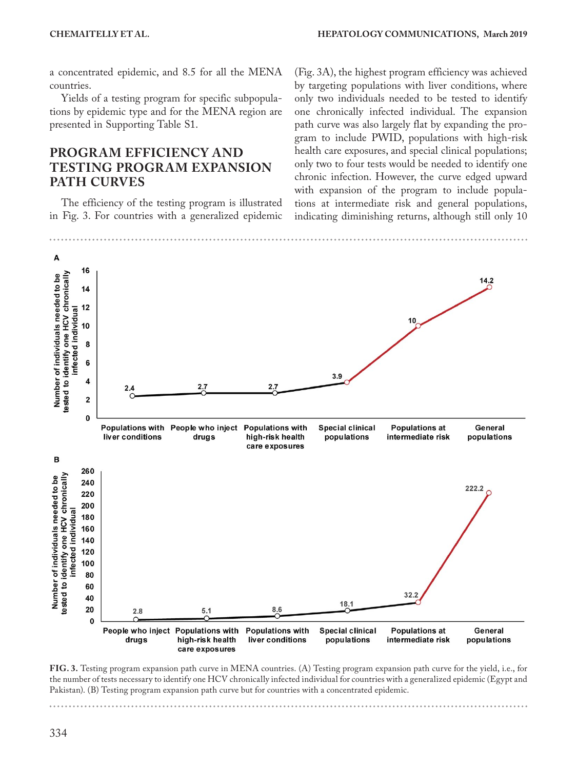a concentrated epidemic, and 8.5 for all the MENA countries.

Yields of a testing program for specific subpopulations by epidemic type and for the MENA region are presented in Supporting Table S1.

### **PROGRAM EFFICIENCY AND TESTING PROGRAM EXPANSION PATH CURVES**

The efficiency of the testing program is illustrated in Fig. 3. For countries with a generalized epidemic (Fig. 3A), the highest program efficiency was achieved by targeting populations with liver conditions, where only two individuals needed to be tested to identify one chronically infected individual. The expansion path curve was also largely flat by expanding the program to include PWID, populations with high-risk health care exposures, and special clinical populations; only two to four tests would be needed to identify one chronic infection. However, the curve edged upward with expansion of the program to include populations at intermediate risk and general populations, indicating diminishing returns, although still only 10



**FIG. 3.** Testing program expansion path curve in MENA countries. (A) Testing program expansion path curve for the yield, i.e., for the number of tests necessary to identify one HCV chronically infected individual for countries with a generalized epidemic (Egypt and Pakistan). (B) Testing program expansion path curve but for countries with a concentrated epidemic.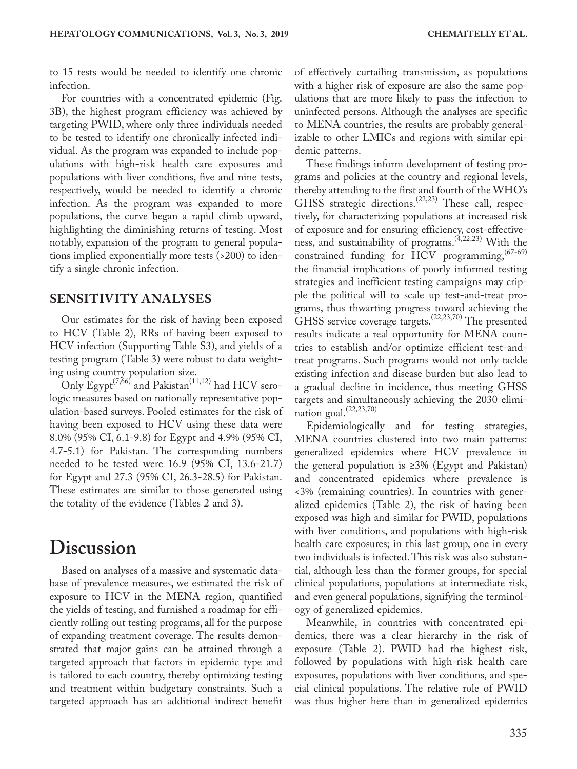to 15 tests would be needed to identify one chronic infection.

For countries with a concentrated epidemic (Fig. 3B), the highest program efficiency was achieved by targeting PWID, where only three individuals needed to be tested to identify one chronically infected individual. As the program was expanded to include populations with high-risk health care exposures and populations with liver conditions, five and nine tests, respectively, would be needed to identify a chronic infection. As the program was expanded to more populations, the curve began a rapid climb upward, highlighting the diminishing returns of testing. Most notably, expansion of the program to general populations implied exponentially more tests (>200) to identify a single chronic infection.

#### **SENSITIVITY ANALYSES**

Our estimates for the risk of having been exposed to HCV (Table 2), RRs of having been exposed to HCV infection (Supporting Table S3), and yields of a testing program (Table 3) were robust to data weighting using country population size.

Only  $\mathrm{Egypt}^{(7,66)}$  and Pakistan<sup>(11,12)</sup> had HCV serologic measures based on nationally representative population-based surveys. Pooled estimates for the risk of having been exposed to HCV using these data were 8.0% (95% CI, 6.1-9.8) for Egypt and 4.9% (95% CI, 4.7-5.1) for Pakistan. The corresponding numbers needed to be tested were 16.9 (95% CI, 13.6-21.7) for Egypt and 27.3 (95% CI, 26.3-28.5) for Pakistan. These estimates are similar to those generated using the totality of the evidence (Tables 2 and 3).

## **Discussion**

Based on analyses of a massive and systematic database of prevalence measures, we estimated the risk of exposure to HCV in the MENA region, quantified the yields of testing, and furnished a roadmap for efficiently rolling out testing programs, all for the purpose of expanding treatment coverage. The results demonstrated that major gains can be attained through a targeted approach that factors in epidemic type and is tailored to each country, thereby optimizing testing and treatment within budgetary constraints. Such a targeted approach has an additional indirect benefit

of effectively curtailing transmission, as populations with a higher risk of exposure are also the same populations that are more likely to pass the infection to uninfected persons. Although the analyses are specific to MENA countries, the results are probably generalizable to other LMICs and regions with similar epidemic patterns.

These findings inform development of testing programs and policies at the country and regional levels, thereby attending to the first and fourth of the WHO's GHSS strategic directions.<sup>(22,23)</sup> These call, respectively, for characterizing populations at increased risk of exposure and for ensuring efficiency, cost-effectiveness, and sustainability of programs.  $(4,22,23)$  With the constrained funding for HCV programming,  $^{(67-69)}$ the financial implications of poorly informed testing strategies and inefficient testing campaigns may cripple the political will to scale up test-and-treat programs, thus thwarting progress toward achieving the GHSS service coverage targets.<sup>(22,23,70)</sup> The presented results indicate a real opportunity for MENA countries to establish and/or optimize efficient test-andtreat programs. Such programs would not only tackle existing infection and disease burden but also lead to a gradual decline in incidence, thus meeting GHSS targets and simultaneously achieving the 2030 elimination goal.(22,23,70)

Epidemiologically and for testing strategies, MENA countries clustered into two main patterns: generalized epidemics where HCV prevalence in the general population is ≥3% (Egypt and Pakistan) and concentrated epidemics where prevalence is <3% (remaining countries). In countries with generalized epidemics (Table 2), the risk of having been exposed was high and similar for PWID, populations with liver conditions, and populations with high-risk health care exposures; in this last group, one in every two individuals is infected. This risk was also substantial, although less than the former groups, for special clinical populations, populations at intermediate risk, and even general populations, signifying the terminology of generalized epidemics.

Meanwhile, in countries with concentrated epidemics, there was a clear hierarchy in the risk of exposure (Table 2). PWID had the highest risk, followed by populations with high-risk health care exposures, populations with liver conditions, and special clinical populations. The relative role of PWID was thus higher here than in generalized epidemics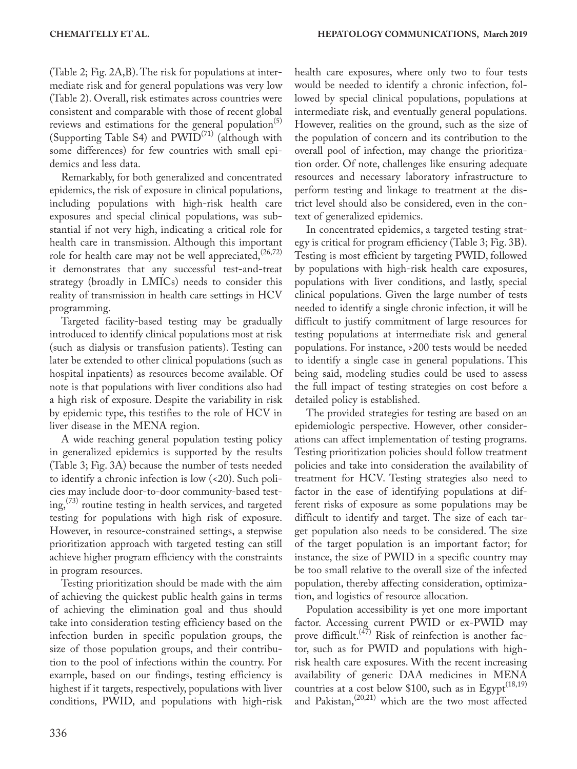(Table 2; Fig. 2A,B). The risk for populations at intermediate risk and for general populations was very low (Table 2). Overall, risk estimates across countries were consistent and comparable with those of recent global reviews and estimations for the general population $(5)$ (Supporting Table S4) and  $\text{PWD}^{(71)}$  (although with some differences) for few countries with small epidemics and less data.

Remarkably, for both generalized and concentrated epidemics, the risk of exposure in clinical populations, including populations with high-risk health care exposures and special clinical populations, was substantial if not very high, indicating a critical role for health care in transmission. Although this important role for health care may not be well appreciated,  $(26,72)$ it demonstrates that any successful test-and-treat strategy (broadly in LMICs) needs to consider this reality of transmission in health care settings in HCV programming.

Targeted facility-based testing may be gradually introduced to identify clinical populations most at risk (such as dialysis or transfusion patients). Testing can later be extended to other clinical populations (such as hospital inpatients) as resources become available. Of note is that populations with liver conditions also had a high risk of exposure. Despite the variability in risk by epidemic type, this testifies to the role of HCV in liver disease in the MENA region.

A wide reaching general population testing policy in generalized epidemics is supported by the results (Table 3; Fig. 3A) because the number of tests needed to identify a chronic infection is low (<20). Such policies may include door-to-door community-based testing,<sup>(73)</sup> routine testing in health services, and targeted testing for populations with high risk of exposure. However, in resource-constrained settings, a stepwise prioritization approach with targeted testing can still achieve higher program efficiency with the constraints in program resources.

Testing prioritization should be made with the aim of achieving the quickest public health gains in terms of achieving the elimination goal and thus should take into consideration testing efficiency based on the infection burden in specific population groups, the size of those population groups, and their contribution to the pool of infections within the country. For example, based on our findings, testing efficiency is highest if it targets, respectively, populations with liver conditions, PWID, and populations with high-risk health care exposures, where only two to four tests would be needed to identify a chronic infection, followed by special clinical populations, populations at intermediate risk, and eventually general populations. However, realities on the ground, such as the size of the population of concern and its contribution to the overall pool of infection, may change the prioritization order. Of note, challenges like ensuring adequate resources and necessary laboratory infrastructure to perform testing and linkage to treatment at the district level should also be considered, even in the context of generalized epidemics.

In concentrated epidemics, a targeted testing strategy is critical for program efficiency (Table 3; Fig. 3B). Testing is most efficient by targeting PWID, followed by populations with high-risk health care exposures, populations with liver conditions, and lastly, special clinical populations. Given the large number of tests needed to identify a single chronic infection, it will be difficult to justify commitment of large resources for testing populations at intermediate risk and general populations. For instance, >200 tests would be needed to identify a single case in general populations. This being said, modeling studies could be used to assess the full impact of testing strategies on cost before a detailed policy is established.

The provided strategies for testing are based on an epidemiologic perspective. However, other considerations can affect implementation of testing programs. Testing prioritization policies should follow treatment policies and take into consideration the availability of treatment for HCV. Testing strategies also need to factor in the ease of identifying populations at different risks of exposure as some populations may be difficult to identify and target. The size of each target population also needs to be considered. The size of the target population is an important factor; for instance, the size of PWID in a specific country may be too small relative to the overall size of the infected population, thereby affecting consideration, optimization, and logistics of resource allocation.

Population accessibility is yet one more important factor. Accessing current PWID or ex-PWID may prove difficult.<sup> $(47)$ </sup> Risk of reinfection is another factor, such as for PWID and populations with highrisk health care exposures. With the recent increasing availability of generic DAA medicines in MENA countries at a cost below \$100, such as in Egypt<sup> $(18,19)$ </sup> and Pakistan,<sup>(20,21)</sup> which are the two most affected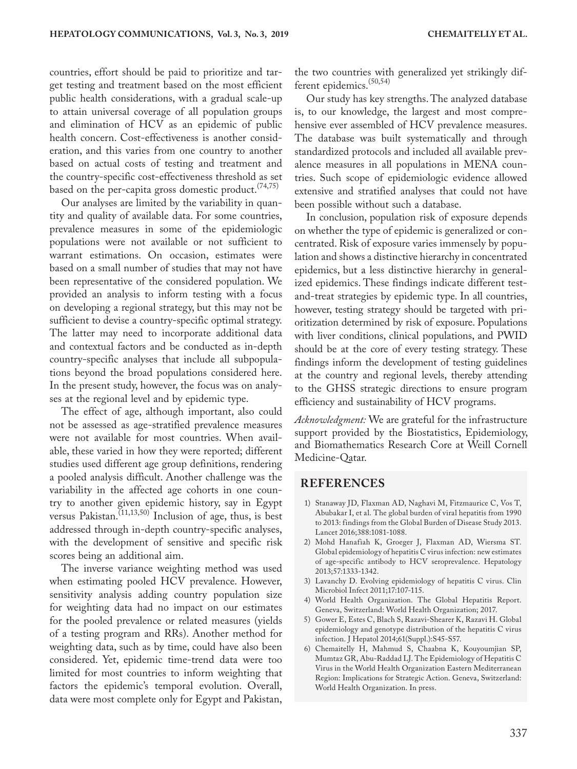countries, effort should be paid to prioritize and target testing and treatment based on the most efficient public health considerations, with a gradual scale-up to attain universal coverage of all population groups and elimination of HCV as an epidemic of public health concern. Cost-effectiveness is another consideration, and this varies from one country to another based on actual costs of testing and treatment and the country-specific cost-effectiveness threshold as set based on the per-capita gross domestic product. $(74,75)$ 

Our analyses are limited by the variability in quantity and quality of available data. For some countries, prevalence measures in some of the epidemiologic populations were not available or not sufficient to warrant estimations. On occasion, estimates were based on a small number of studies that may not have been representative of the considered population. We provided an analysis to inform testing with a focus on developing a regional strategy, but this may not be sufficient to devise a country-specific optimal strategy. The latter may need to incorporate additional data and contextual factors and be conducted as in-depth country-specific analyses that include all subpopulations beyond the broad populations considered here. In the present study, however, the focus was on analyses at the regional level and by epidemic type.

The effect of age, although important, also could not be assessed as age-stratified prevalence measures were not available for most countries. When available, these varied in how they were reported; different studies used different age group definitions, rendering a pooled analysis difficult. Another challenge was the variability in the affected age cohorts in one country to another given epidemic history, say in Egypt versus Pakistan.<sup> $(11,13,50)$ </sup> Inclusion of age, thus, is best addressed through in-depth country-specific analyses, with the development of sensitive and specific risk scores being an additional aim.

The inverse variance weighting method was used when estimating pooled HCV prevalence. However, sensitivity analysis adding country population size for weighting data had no impact on our estimates for the pooled prevalence or related measures (yields of a testing program and RRs). Another method for weighting data, such as by time, could have also been considered. Yet, epidemic time-trend data were too limited for most countries to inform weighting that factors the epidemic's temporal evolution. Overall, data were most complete only for Egypt and Pakistan,

the two countries with generalized yet strikingly different epidemics.<sup>(50,54)</sup>

Our study has key strengths. The analyzed database is, to our knowledge, the largest and most comprehensive ever assembled of HCV prevalence measures. The database was built systematically and through standardized protocols and included all available prevalence measures in all populations in MENA countries. Such scope of epidemiologic evidence allowed extensive and stratified analyses that could not have been possible without such a database.

In conclusion, population risk of exposure depends on whether the type of epidemic is generalized or concentrated. Risk of exposure varies immensely by population and shows a distinctive hierarchy in concentrated epidemics, but a less distinctive hierarchy in generalized epidemics. These findings indicate different testand-treat strategies by epidemic type. In all countries, however, testing strategy should be targeted with prioritization determined by risk of exposure. Populations with liver conditions, clinical populations, and PWID should be at the core of every testing strategy. These findings inform the development of testing guidelines at the country and regional levels, thereby attending to the GHSS strategic directions to ensure program efficiency and sustainability of HCV programs.

*Acknowledgment:* We are grateful for the infrastructure support provided by the Biostatistics, Epidemiology, and Biomathematics Research Core at Weill Cornell Medicine-Qatar.

#### **REFERENCES**

- 1) Stanaway JD, Flaxman AD, Naghavi M, Fitzmaurice C, Vos T, Abubakar I, et al. The global burden of viral hepatitis from 1990 to 2013: findings from the Global Burden of Disease Study 2013. Lancet 2016;388:1081-1088.
- 2) Mohd Hanafiah K, Groeger J, Flaxman AD, Wiersma ST. Global epidemiology of hepatitis C virus infection: new estimates of age-specific antibody to HCV seroprevalence. Hepatology 2013;57:1333-1342.
- 3) Lavanchy D. Evolving epidemiology of hepatitis C virus. Clin Microbiol Infect 2011;17:107-115.
- 4) World Health Organization. The Global Hepatitis Report. Geneva, Switzerland: World Health Organization; 2017.
- 5) Gower E, Estes C, Blach S, Razavi-Shearer K, Razavi H. Global epidemiology and genotype distribution of the hepatitis C virus infection. J Hepatol 2014;61(Suppl.):S45-S57.
- 6) Chemaitelly H, Mahmud S, Chaabna K, Kouyoumjian SP, Mumtaz GR, Abu-Raddad LJ. The Epidemiology of Hepatitis C Virus in the World Health Organization Eastern Mediterranean Region: Implications for Strategic Action. Geneva, Switzerland: World Health Organization. In press.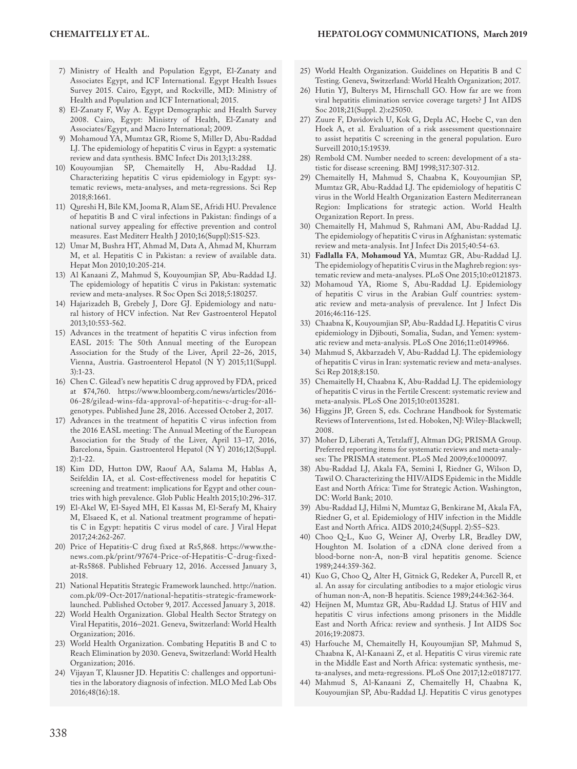- 7) Ministry of Health and Population Egypt, El-Zanaty and Associates Egypt, and ICF International. Egypt Health Issues Survey 2015. Cairo, Egypt, and Rockville, MD: Ministry of Health and Population and ICF International; 2015.
- 8) El-Zanaty F, Way A. Egypt Demographic and Health Survey 2008. Cairo, Egypt: Ministry of Health, El-Zanaty and Associates/Egypt, and Macro International; 2009.
- 9) Mohamoud YA, Mumtaz GR, Riome S, Miller D, Abu-Raddad LJ. The epidemiology of hepatitis C virus in Egypt: a systematic review and data synthesis. BMC Infect Dis 2013;13:288.
- 10) Kouyoumjian SP, Chemaitelly H, Abu-Raddad LJ. Characterizing hepatitis C virus epidemiology in Egypt: systematic reviews, meta-analyses, and meta-regressions. Sci Rep 2018;8:1661.
- 11) Qureshi H, Bile KM, Jooma R, Alam SE, Afridi HU. Prevalence of hepatitis B and C viral infections in Pakistan: findings of a national survey appealing for effective prevention and control measures. East Mediterr Health J 2010;16(Suppl):S15-S23.
- 12) Umar M, Bushra HT, Ahmad M, Data A, Ahmad M, Khurram M, et al. Hepatitis C in Pakistan: a review of available data. Hepat Mon 2010;10:205-214.
- 13) Al Kanaani Z, Mahmud S, Kouyoumjian SP, Abu-Raddad LJ. The epidemiology of hepatitis C virus in Pakistan: systematic review and meta-analyses. R Soc Open Sci 2018;5:180257.
- 14) Hajarizadeh B, Grebely J, Dore GJ. Epidemiology and natural history of HCV infection. Nat Rev Gastroenterol Hepatol 2013;10:553-562.
- 15) Advances in the treatment of hepatitis C virus infection from EASL 2015: The 50th Annual meeting of the European Association for the Study of the Liver, April 22–26, 2015, Vienna, Austria. Gastroenterol Hepatol (N Y) 2015;11(Suppl. 3):1-23.
- 16) Chen C. Gilead's new hepatitis C drug approved by FDA, priced at \$74,760. [https://www.bloomberg.com/news/articles/2016-](https://www.bloomberg.com/news/articles/2016-06-28/gilead-wins-fda-approval-of-hepatitis-c-drug-for-all-genotypes) [06-28/gilead-wins-fda-approval-of-hepatitis-c-drug-for-all](https://www.bloomberg.com/news/articles/2016-06-28/gilead-wins-fda-approval-of-hepatitis-c-drug-for-all-genotypes)[genotypes.](https://www.bloomberg.com/news/articles/2016-06-28/gilead-wins-fda-approval-of-hepatitis-c-drug-for-all-genotypes) Published June 28, 2016. Accessed October 2, 2017.
- 17) Advances in the treatment of hepatitis C virus infection from the 2016 EASL meeting: The Annual Meeting of the European Association for the Study of the Liver, April 13–17, 2016, Barcelona, Spain. Gastroenterol Hepatol (N Y) 2016;12(Suppl. 2):1-22.
- 18) Kim DD, Hutton DW, Raouf AA, Salama M, Hablas A, Seifeldin IA, et al. Cost-effectiveness model for hepatitis C screening and treatment: implications for Egypt and other countries with high prevalence. Glob Public Health 2015;10:296-317.
- 19) El-Akel W, El-Sayed MH, El Kassas M, El-Serafy M, Khairy M, Elsaeed K, et al. National treatment programme of hepatitis C in Egypt: hepatitis C virus model of care. J Viral Hepat 2017;24:262-267.
- 20) Price of Hepatitis-C drug fixed at Rs5,868. [https://www.the](https://www.thenews.com.pk/print/97674-Price-of-Hepatitis-C-drug-fixed-at-Rs5868)[news.com.pk/print/97674-Price-of-Hepatitis-C-drug-fixed](https://www.thenews.com.pk/print/97674-Price-of-Hepatitis-C-drug-fixed-at-Rs5868)[at-Rs5868](https://www.thenews.com.pk/print/97674-Price-of-Hepatitis-C-drug-fixed-at-Rs5868). Published February 12, 2016. Accessed January 3, 2018.
- 21) National Hepatitis Strategic Framework launched. [http://nation.](http://nation.com.pk/09-Oct-2017/national-hepatitis-strategic-framework-launched) [com.pk/09-Oct-2017/national-hepatitis-strategic-framework](http://nation.com.pk/09-Oct-2017/national-hepatitis-strategic-framework-launched)[launched](http://nation.com.pk/09-Oct-2017/national-hepatitis-strategic-framework-launched). Published October 9, 2017. Accessed January 3, 2018.
- 22) World Health Organization. Global Health Sector Strategy on Viral Hepatitis, 2016–2021. Geneva, Switzerland: World Health Organization; 2016.
- 23) World Health Organization. Combating Hepatitis B and C to Reach Elimination by 2030. Geneva, Switzerland: World Health Organization; 2016.
- 24) Vijayan T, Klausner JD. Hepatitis C: challenges and opportunities in the laboratory diagnosis of infection. MLO Med Lab Obs 2016;48(16):18.
- 25) World Health Organization. Guidelines on Hepatitis B and C Testing. Geneva, Switzerland: World Health Organization; 2017.
- 26) Hutin YJ, Bulterys M, Hirnschall GO. How far are we from viral hepatitis elimination service coverage targets? J Int AIDS Soc 2018;21(Suppl. 2):e25050.
- 27) Zuure F, Davidovich U, Kok G, Depla AC, Hoebe C, van den Hoek A, et al. Evaluation of a risk assessment questionnaire to assist hepatitis C screening in the general population. Euro Surveill 2010;15:19539.
- 28) Rembold CM. Number needed to screen: development of a statistic for disease screening. BMJ 1998;317:307-312.
- 29) Chemaitelly H, Mahmud S, Chaabna K, Kouyoumjian SP, Mumtaz GR, Abu-Raddad LJ. The epidemiology of hepatitis C virus in the World Health Organization Eastern Mediterranean Region: Implications for strategic action. World Health Organization Report. In press.
- 30) Chemaitelly H, Mahmud S, Rahmani AM, Abu-Raddad LJ. The epidemiology of hepatitis C virus in Afghanistan: systematic review and meta-analysis. Int J Infect Dis 2015;40:54-63.
- 31) **Fadlalla FA**, **Mohamoud YA**, Mumtaz GR, Abu-Raddad LJ. The epidemiology of hepatitis C virus in the Maghreb region: systematic review and meta-analyses. PLoS One 2015;10:e0121873.
- 32) Mohamoud YA, Riome S, Abu-Raddad LJ. Epidemiology of hepatitis C virus in the Arabian Gulf countries: systematic review and meta-analysis of prevalence. Int J Infect Dis 2016;46:116-125.
- 33) Chaabna K, Kouyoumjian SP, Abu-Raddad LJ. Hepatitis C virus epidemiology in Djibouti, Somalia, Sudan, and Yemen: systematic review and meta-analysis. PLoS One 2016;11:e0149966.
- 34) Mahmud S, Akbarzadeh V, Abu-Raddad LJ. The epidemiology of hepatitis C virus in Iran: systematic review and meta-analyses. Sci Rep 2018;8:150.
- 35) Chemaitelly H, Chaabna K, Abu-Raddad LJ. The epidemiology of hepatitis C virus in the Fertile Crescent: systematic review and meta-analysis. PLoS One 2015;10:e0135281.
- 36) Higgins JP, Green S, eds. Cochrane Handbook for Systematic Reviews of Interventions, 1st ed. Hoboken, NJ: Wiley-Blackwell; 2008.
- 37) Moher D, Liberati A, Tetzlaff J, Altman DG; PRISMA Group. Preferred reporting items for systematic reviews and meta-analyses: The PRISMA statement. PLoS Med 2009;6:e1000097.
- 38) Abu-Raddad LJ, Akala FA, Semini I, Riedner G, Wilson D, Tawil O. Characterizing the HIV/AIDS Epidemic in the Middle East and North Africa: Time for Strategic Action. Washington, DC: World Bank; 2010.
- 39) Abu-Raddad LJ, Hilmi N, Mumtaz G, Benkirane M, Akala FA, Riedner G, et al. Epidemiology of HIV infection in the Middle East and North Africa. AIDS 2010;24(Suppl. 2):S5–S23.
- 40) Choo Q-L, Kuo G, Weiner AJ, Overby LR, Bradley DW, Houghton M. Isolation of a cDNA clone derived from a blood-borne non-A, non-B viral hepatitis genome. Science 1989;244:359-362.
- 41) Kuo G, Choo Q, Alter H, Gitnick G, Redeker A, Purcell R, et al. An assay for circulating antibodies to a major etiologic virus of human non-A, non-B hepatitis. Science 1989;244:362-364.
- 42) Heijnen M, Mumtaz GR, Abu-Raddad LJ. Status of HIV and hepatitis C virus infections among prisoners in the Middle East and North Africa: review and synthesis. J Int AIDS Soc 2016;19:20873.
- 43) Harfouche M, Chemaitelly H, Kouyoumjian SP, Mahmud S, Chaabna K, Al-Kanaani Z, et al. Hepatitis C virus viremic rate in the Middle East and North Africa: systematic synthesis, meta-analyses, and meta-regressions. PLoS One 2017;12:e0187177.
- 44) Mahmud S, Al-Kanaani Z, Chemaitelly H, Chaabna K, Kouyoumjian SP, Abu-Raddad LJ. Hepatitis C virus genotypes